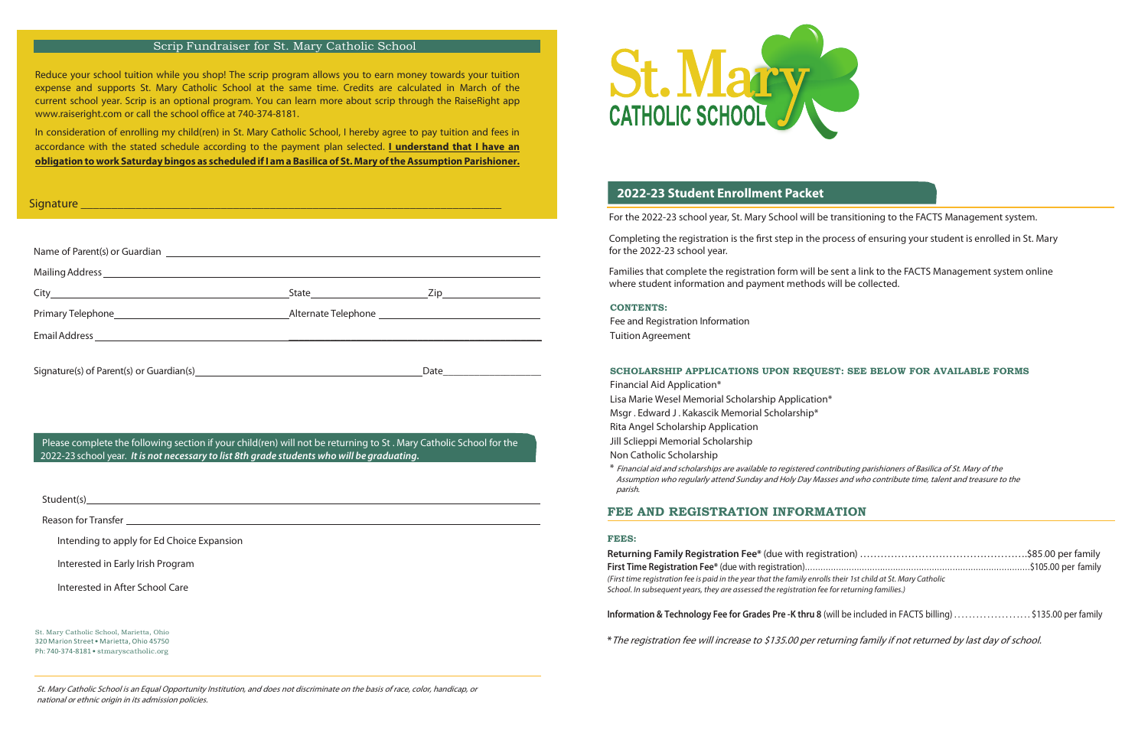Fee and Registration Information **CONTENTS:** 

**Fee and Registration Information** TuitionAgreement Fee and Registration information F

Financial Aid Application\* Financial Aid Application\* **SCHOLARS IN THE REGULARSHIP APPLICATION**<br>Lisa Marie Wesel Memorial Scholarship Application\* Eisa marie Weser Memorial Scholarship / ppileatie<br>Msgr . Edward J . Kakascik Memorial Scholarship\* may a candidate memorial scholarship<br>Rita Angel Scholarship Application

nica Anger Scholarship Application<br>Jill Sclieppi Memorial Scholarship Jill Sclieppi Memorial Scholarship<br>Mara<sup>c</sup>ial di Sadada di L

#### **FEES: FEES: FEES:**

\* The registration fee will increase to \$135.00 per returning family if not returned by last day of school.

where student information and payment methods will be collected. Families that complete the registration form will be sent a link to the FACTS Management system online

In consideration of enrolling my child(ren) in St. Mary Catholic School, I hereby agree to pay tuition and fees in accordance with the stated schedule according to the payment plan selected. **I understand that I have an**  accordance with the stated schedule according to the payment plan selected. **I understand that I have an**  obligation to work Saturday bingos as scheduled if I am a Basilica of St. Mary of the Assumption Parishioner. current school year. Scrip is an optional program. You can learn more about scrip through the RaiseRight app n consideration of enrolling my child(ren) in St. Mary Catholic School, I hereby agree to pay tuition and fees in accordance with the stated schedule according to the payment plan selected. **I understand that I have an** 

For the 2022-23 school year, St. Mary School will be transitioning to the FACTS Management system.

Completing the registration is the first step in the process of ensuring your student is enrolled in St. Mary for the 2022-23 school year.

## Scrip Fundraiser for St. Mary Catholic School Scrip Fundraiser for St. Mary Catholic School

Reduce your school tuition while you shop! The scrip program allows you to earn money towards your tuition expense and supports St. Mary Catholic School at the same time. Credits are calculated in March of the expense and supports St. Mary Catholic School at the same time. Credits are calculated in March of the current school year. Scrip is an optional program. You can learn more about scrip through the RaiseRight app www.raiseright.com or call the school office at 740-374-8181.

| Signature entry and the contract of the contract of the contract of the contract of the contract of the contract of the contract of the contract of the contract of the contract of the contract of the contract of the contra |  |  |  |  |
|--------------------------------------------------------------------------------------------------------------------------------------------------------------------------------------------------------------------------------|--|--|--|--|
|                                                                                                                                                                                                                                |  |  |  |  |
|                                                                                                                                                                                                                                |  |  |  |  |
|                                                                                                                                                                                                                                |  |  |  |  |
|                                                                                                                                                                                                                                |  |  |  |  |
|                                                                                                                                                                                                                                |  |  |  |  |
|                                                                                                                                                                                                                                |  |  |  |  |
|                                                                                                                                                                                                                                |  |  |  |  |
|                                                                                                                                                                                                                                |  |  |  |  |

Please complete the following section if your child(ren) will not be returning to St . Mary Catholic School for the 2022-23 school year. It is not necessary to list 8th grade students who will be graduating.

## **SCHOLARSHIP APPLICATIONS UPON REQUEST: SEE BELOW FOR AVAILABLE FORMS SCHOLARSHIP APPLICATIONS UPON REQUEST: SEE BELOW FOR AVAILABLE FORMS**

St. Mary Catholic School is an Equal Opportunity Institution, and does not discriminate on the basis of race, color, handicap, or national or ethnic origin in its admission policies. national or ethnic origin in its admission policies.

Non Catholic Scholarship Non Catholic Scholarship

xon cations beholdship<br>\* Financial aid and scholarships are available to registered contributing parishioners of Basilica of St. Mary of the Assumption who regularly attend Sunday and Holy Day Masses and who contribute time, talent and treasure to the parish. parish. the Financial aid aid and scholarships are available to registered contributing parishioners of Basilica of St. Mary of Theorems of Basilica of St. Mary of St. Mary of St. Mary of the St. Mary of the St. Mary of the St. Ma

Student(s) Student(s)

Reason for Transfer

Intending to apply for Ed Choice Expansion

Interested in Early Irish Program

Interested in After School Care

St. Mary Catholic School, Marietta, Ohio St. Mary Catholic School, Marietta, Ohio 320 Marion Street**•** Marietta, Ohio 45750 320 Marion Street**•** Marietta, Ohio 45750 Ph: 740-374-8181 **•** stmaryscatholic.org St. Mary Catholic School, Marietta, Ohio Ph: 740-374-8181 **•** stmaryscatholic.org

# **FEE AND REGISTRATION INFORMATION** parish. **FEE AND REGISTRATION INFORMATION**

Ph: 740-374-8181 **•** stmaryscatholic.org



| (First time registration fee is paid in the year that the family enrolls their 1st child at St. Mary Catholic<br>School. In subsequent years, they are assessed the registration fee for returning families.) |  |  |
|---------------------------------------------------------------------------------------------------------------------------------------------------------------------------------------------------------------|--|--|
| Information & Technology Fee for Grades Pre-K thru 8 (will be included in FACTS billing) \$135.00 per family                                                                                                  |  |  |
| * The reqistration fee will increase to \$135.00 per returning family if not returned by last day of school                                                                                                   |  |  |

## **2022-23 Student Enrollment Packet**